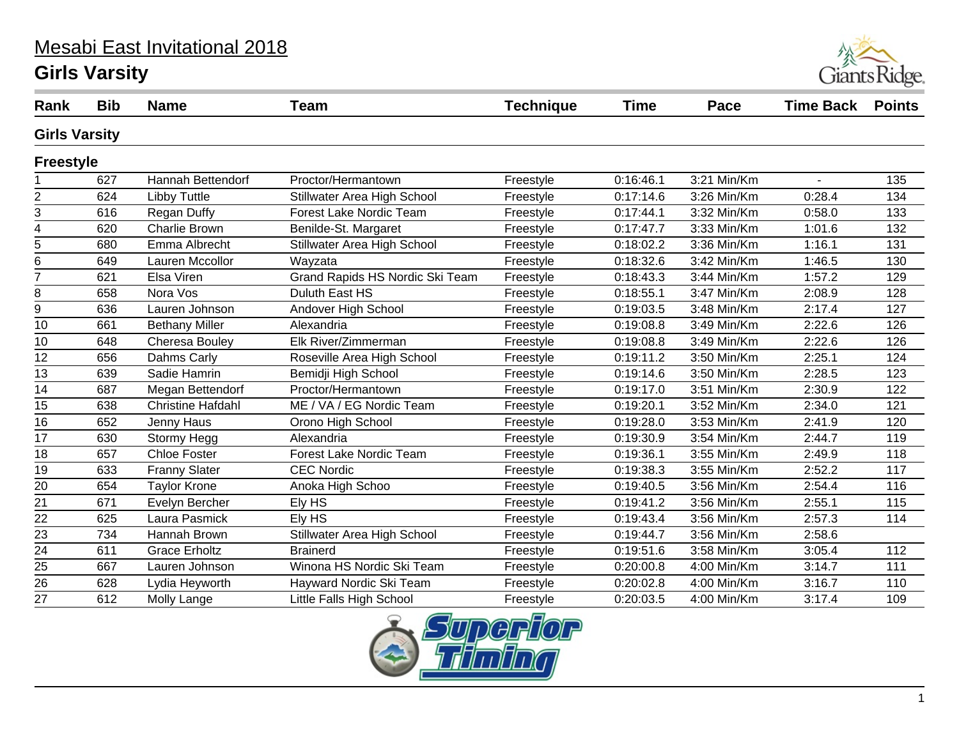# Mesabi East Invitational 2018

#### **Girls Varsity**



| Rank                 | <b>Bib</b> | <b>Name</b>              | <b>Team</b>                     | <b>Technique</b> | Time      | Pace        | <b>Time Back</b> | <b>Points</b> |
|----------------------|------------|--------------------------|---------------------------------|------------------|-----------|-------------|------------------|---------------|
| <b>Girls Varsity</b> |            |                          |                                 |                  |           |             |                  |               |
| <b>Freestyle</b>     |            |                          |                                 |                  |           |             |                  |               |
|                      | 627        | Hannah Bettendorf        | Proctor/Hermantown              | Freestyle        | 0:16:46.1 | 3:21 Min/Km |                  | 135           |
| 2                    | 624        | <b>Libby Tuttle</b>      | Stillwater Area High School     | Freestyle        | 0:17:14.6 | 3:26 Min/Km | 0:28.4           | 134           |
| 3                    | 616        | Regan Duffy              | Forest Lake Nordic Team         | Freestyle        | 0:17:44.1 | 3:32 Min/Km | 0:58.0           | 133           |
| 4                    | 620        | <b>Charlie Brown</b>     | Benilde-St. Margaret            | Freestyle        | 0:17:47.7 | 3:33 Min/Km | 1:01.6           | 132           |
| 5                    | 680        | Emma Albrecht            | Stillwater Area High School     | Freestyle        | 0:18:02.2 | 3:36 Min/Km | 1:16.1           | 131           |
| 6                    | 649        | Lauren Mccollor          | Wayzata                         | Freestyle        | 0:18:32.6 | 3:42 Min/Km | 1:46.5           | 130           |
| $\overline{7}$       | 621        | Elsa Viren               | Grand Rapids HS Nordic Ski Team | Freestyle        | 0:18:43.3 | 3:44 Min/Km | 1:57.2           | 129           |
| 8                    | 658        | Nora Vos                 | Duluth East HS                  | Freestyle        | 0:18:55.1 | 3:47 Min/Km | 2:08.9           | 128           |
| 9                    | 636        | Lauren Johnson           | Andover High School             | Freestyle        | 0:19:03.5 | 3:48 Min/Km | 2:17.4           | 127           |
| 10                   | 661        | <b>Bethany Miller</b>    | Alexandria                      | Freestyle        | 0:19:08.8 | 3:49 Min/Km | 2:22.6           | 126           |
| 10                   | 648        | Cheresa Bouley           | Elk River/Zimmerman             | Freestyle        | 0:19:08.8 | 3:49 Min/Km | 2:22.6           | 126           |
| 12                   | 656        | Dahms Carly              | Roseville Area High School      | Freestyle        | 0:19:11.2 | 3:50 Min/Km | 2:25.1           | 124           |
| 13                   | 639        | Sadie Hamrin             | Bemidji High School             | Freestyle        | 0:19:14.6 | 3:50 Min/Km | 2:28.5           | 123           |
| $\overline{14}$      | 687        | Megan Bettendorf         | Proctor/Hermantown              | Freestyle        | 0:19:17.0 | 3:51 Min/Km | 2:30.9           | 122           |
| 15                   | 638        | <b>Christine Hafdahl</b> | ME / VA / EG Nordic Team        | Freestyle        | 0:19:20.1 | 3:52 Min/Km | 2:34.0           | 121           |
| $\overline{16}$      | 652        | Jenny Haus               | Orono High School               | Freestyle        | 0:19:28.0 | 3:53 Min/Km | 2:41.9           | 120           |
| 17                   | 630        | Stormy Hegg              | Alexandria                      | Freestyle        | 0:19:30.9 | 3:54 Min/Km | 2:44.7           | 119           |
| 18                   | 657        | <b>Chloe Foster</b>      | Forest Lake Nordic Team         | Freestyle        | 0:19:36.1 | 3:55 Min/Km | 2:49.9           | 118           |
| $\overline{19}$      | 633        | <b>Franny Slater</b>     | <b>CEC Nordic</b>               | Freestyle        | 0:19:38.3 | 3:55 Min/Km | 2:52.2           | 117           |
| $\overline{20}$      | 654        | <b>Taylor Krone</b>      | Anoka High Schoo                | Freestyle        | 0:19:40.5 | 3:56 Min/Km | 2:54.4           | 116           |
| 21                   | 671        | Evelyn Bercher           | Ely HS                          | Freestyle        | 0:19:41.2 | 3:56 Min/Km | 2:55.1           | 115           |
| 22                   | 625        | Laura Pasmick            | Ely HS                          | Freestyle        | 0:19:43.4 | 3:56 Min/Km | 2:57.3           | 114           |
| 23                   | 734        | Hannah Brown             | Stillwater Area High School     | Freestyle        | 0:19:44.7 | 3:56 Min/Km | 2:58.6           |               |
| 24                   | 611        | <b>Grace Erholtz</b>     | <b>Brainerd</b>                 | Freestyle        | 0:19:51.6 | 3:58 Min/Km | 3:05.4           | 112           |
| 25                   | 667        | Lauren Johnson           | Winona HS Nordic Ski Team       | Freestyle        | 0:20:00.8 | 4:00 Min/Km | 3:14.7           | 111           |
| $\overline{26}$      | 628        | Lydia Heyworth           | Hayward Nordic Ski Team         | Freestyle        | 0:20:02.8 | 4:00 Min/Km | 3:16.7           | 110           |
| 27                   | 612        | Molly Lange              | Little Falls High School        | Freestyle        | 0:20:03.5 | 4:00 Min/Km | 3:17.4           | 109           |
|                      |            |                          |                                 |                  |           |             |                  |               |

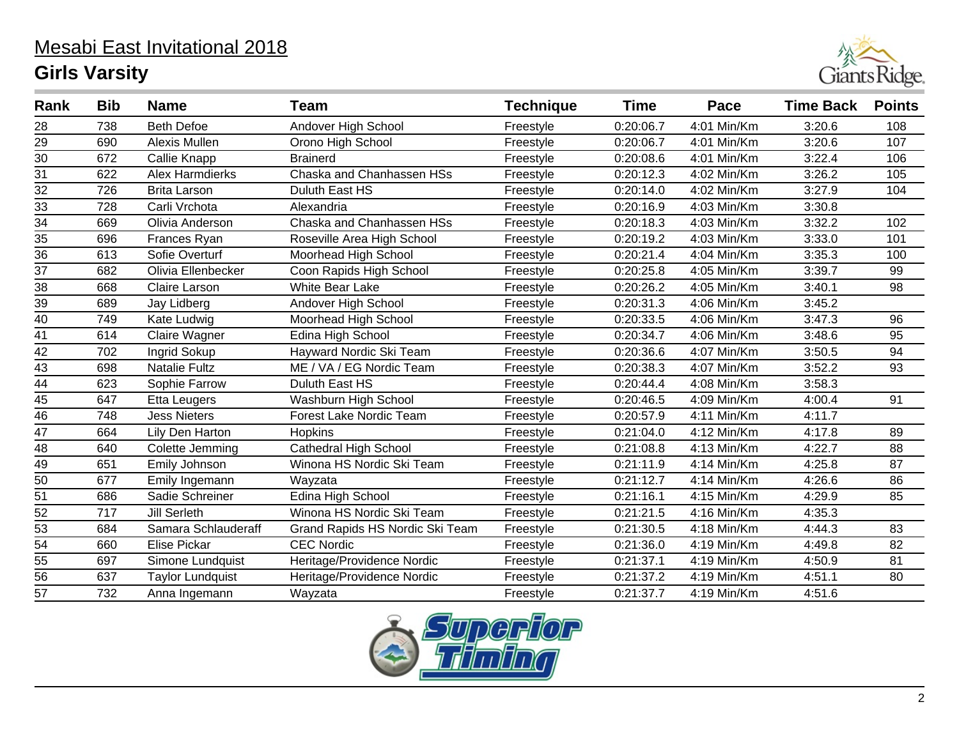

| Rank            | <b>Bib</b> | <b>Name</b>             | <b>Team</b>                     | <b>Technique</b> | <b>Time</b> | Pace          | <b>Time Back</b> | <b>Points</b> |
|-----------------|------------|-------------------------|---------------------------------|------------------|-------------|---------------|------------------|---------------|
| 28              | 738        | <b>Beth Defoe</b>       | Andover High School             | Freestyle        | 0:20:06.7   | 4:01 Min/Km   | 3:20.6           | 108           |
| 29              | 690        | Alexis Mullen           | Orono High School               | Freestyle        | 0:20:06.7   | 4:01 Min/Km   | 3:20.6           | 107           |
| 30              | 672        | Callie Knapp            | <b>Brainerd</b>                 | Freestyle        | 0:20:08.6   | 4:01 Min/Km   | 3:22.4           | 106           |
| 31              | 622        | <b>Alex Harmdierks</b>  | Chaska and Chanhassen HSs       | Freestyle        | 0:20:12.3   | 4:02 Min/Km   | 3:26.2           | 105           |
| $\overline{32}$ | 726        | <b>Brita Larson</b>     | Duluth East HS                  | Freestyle        | 0:20:14.0   | 4:02 Min/Km   | 3:27.9           | 104           |
| 33              | 728        | Carli Vrchota           | Alexandria                      | Freestyle        | 0:20:16.9   | 4:03 Min/Km   | 3:30.8           |               |
| $\overline{34}$ | 669        | Olivia Anderson         | Chaska and Chanhassen HSs       | Freestyle        | 0:20:18.3   | 4:03 Min/Km   | 3:32.2           | 102           |
| 35              | 696        | Frances Ryan            | Roseville Area High School      | Freestyle        | 0:20:19.2   | 4:03 Min/Km   | 3:33.0           | 101           |
| $\overline{36}$ | 613        | Sofie Overturf          | Moorhead High School            | Freestyle        | 0:20:21.4   | 4:04 Min/Km   | 3:35.3           | 100           |
| 37              | 682        | Olivia Ellenbecker      | Coon Rapids High School         | Freestyle        | 0:20:25.8   | 4:05 Min/Km   | 3:39.7           | 99            |
| 38              | 668        | Claire Larson           | <b>White Bear Lake</b>          | Freestyle        | 0:20:26.2   | 4:05 Min/Km   | 3:40.1           | 98            |
| 39              | 689        | Jay Lidberg             | Andover High School             | Freestyle        | 0:20:31.3   | 4:06 Min/Km   | 3:45.2           |               |
| 40              | 749        | Kate Ludwig             | Moorhead High School            | Freestyle        | 0:20:33.5   | 4:06 Min/Km   | 3:47.3           | 96            |
| 41              | 614        | Claire Wagner           | Edina High School               | Freestyle        | 0:20:34.7   | 4:06 Min/Km   | 3:48.6           | 95            |
| 42              | 702        | Ingrid Sokup            | Hayward Nordic Ski Team         | Freestyle        | 0:20:36.6   | 4:07 Min/Km   | 3:50.5           | 94            |
| $\overline{43}$ | 698        | <b>Natalie Fultz</b>    | ME / VA / EG Nordic Team        | Freestyle        | 0:20:38.3   | 4:07 Min/Km   | 3:52.2           | 93            |
| $\overline{44}$ | 623        | Sophie Farrow           | Duluth East HS                  | Freestyle        | 0:20:44.4   | 4:08 Min/Km   | 3:58.3           |               |
| $\overline{45}$ | 647        | <b>Etta Leugers</b>     | Washburn High School            | Freestyle        | 0:20:46.5   | 4:09 Min/Km   | 4:00.4           | 91            |
| $\overline{46}$ | 748        | <b>Jess Nieters</b>     | Forest Lake Nordic Team         | Freestyle        | 0:20:57.9   | 4:11 Min/Km   | 4:11.7           |               |
| $\overline{47}$ | 664        | Lily Den Harton         | Hopkins                         | Freestyle        | 0:21:04.0   | $4:12$ Min/Km | 4:17.8           | 89            |
| $\overline{48}$ | 640        | Colette Jemming         | <b>Cathedral High School</b>    | Freestyle        | 0:21:08.8   | 4:13 Min/Km   | 4:22.7           | 88            |
| 49              | 651        | Emily Johnson           | Winona HS Nordic Ski Team       | Freestyle        | 0:21:11.9   | 4:14 Min/Km   | 4:25.8           | 87            |
| $\overline{50}$ | 677        | Emily Ingemann          | Wayzata                         | Freestyle        | 0:21:12.7   | 4:14 Min/Km   | 4:26.6           | 86            |
| 51              | 686        | Sadie Schreiner         | Edina High School               | Freestyle        | 0:21:16.1   | 4:15 Min/Km   | 4:29.9           | 85            |
| 52              | 717        | <b>Jill Serleth</b>     | Winona HS Nordic Ski Team       | Freestyle        | 0:21:21.5   | 4:16 Min/Km   | 4:35.3           |               |
| 53              | 684        | Samara Schlauderaff     | Grand Rapids HS Nordic Ski Team | Freestyle        | 0:21:30.5   | 4:18 Min/Km   | 4:44.3           | 83            |
| $\overline{54}$ | 660        | <b>Elise Pickar</b>     | <b>CEC Nordic</b>               | Freestyle        | 0:21:36.0   | 4:19 Min/Km   | 4:49.8           | 82            |
| 55              | 697        | Simone Lundquist        | Heritage/Providence Nordic      | Freestyle        | 0:21:37.1   | 4:19 Min/Km   | 4:50.9           | 81            |
| $\overline{56}$ | 637        | <b>Taylor Lundquist</b> | Heritage/Providence Nordic      | Freestyle        | 0:21:37.2   | 4:19 Min/Km   | 4:51.1           | 80            |
| 57              | 732        | Anna Ingemann           | Wayzata                         | Freestyle        | 0:21:37.7   | 4:19 Min/Km   | 4:51.6           |               |

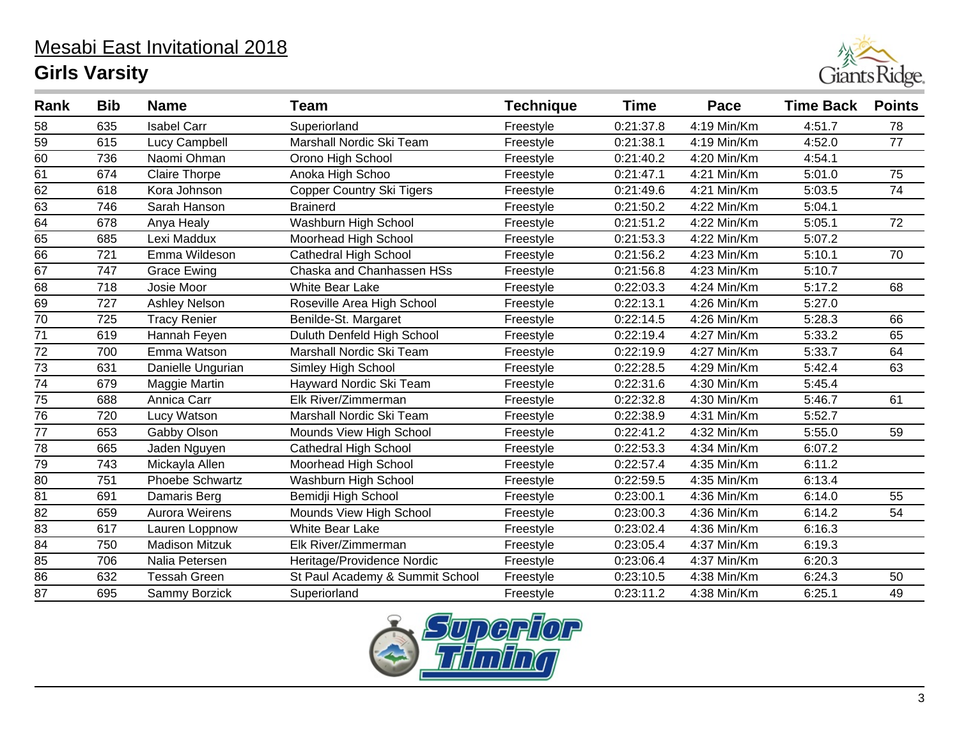

| Rank            | <b>Bib</b> | <b>Name</b>           | Team                             | <b>Technique</b> | Time      | Pace        | <b>Time Back</b> | <b>Points</b>   |
|-----------------|------------|-----------------------|----------------------------------|------------------|-----------|-------------|------------------|-----------------|
| 58              | 635        | <b>Isabel Carr</b>    | Superiorland                     | Freestyle        | 0:21:37.8 | 4:19 Min/Km | 4:51.7           | 78              |
| 59              | 615        | Lucy Campbell         | Marshall Nordic Ski Team         | Freestyle        | 0:21:38.1 | 4:19 Min/Km | 4:52.0           | 77              |
| $\overline{60}$ | 736        | Naomi Ohman           | Orono High School                | Freestyle        | 0:21:40.2 | 4:20 Min/Km | 4:54.1           |                 |
| 61              | 674        | <b>Claire Thorpe</b>  | Anoka High Schoo                 | Freestyle        | 0:21:47.1 | 4:21 Min/Km | 5:01.0           | $\overline{75}$ |
| $\overline{62}$ | 618        | Kora Johnson          | <b>Copper Country Ski Tigers</b> | Freestyle        | 0:21:49.6 | 4:21 Min/Km | 5:03.5           | 74              |
| 63              | 746        | Sarah Hanson          | <b>Brainerd</b>                  | Freestyle        | 0:21:50.2 | 4:22 Min/Km | 5:04.1           |                 |
| 64              | 678        | Anya Healy            | Washburn High School             | Freestyle        | 0:21:51.2 | 4:22 Min/Km | 5:05.1           | 72              |
| 65              | 685        | Lexi Maddux           | Moorhead High School             | Freestyle        | 0:21:53.3 | 4:22 Min/Km | 5:07.2           |                 |
| 66              | 721        | Emma Wildeson         | <b>Cathedral High School</b>     | Freestyle        | 0:21:56.2 | 4:23 Min/Km | 5:10.1           | 70              |
| 67              | 747        | <b>Grace Ewing</b>    | Chaska and Chanhassen HSs        | Freestyle        | 0:21:56.8 | 4:23 Min/Km | 5:10.7           |                 |
| 68              | 718        | Josie Moor            | <b>White Bear Lake</b>           | Freestyle        | 0:22:03.3 | 4:24 Min/Km | 5:17.2           | 68              |
| 69              | 727        | Ashley Nelson         | Roseville Area High School       | Freestyle        | 0:22:13.1 | 4:26 Min/Km | 5:27.0           |                 |
| 70              | 725        | <b>Tracy Renier</b>   | Benilde-St. Margaret             | Freestyle        | 0:22:14.5 | 4:26 Min/Km | 5:28.3           | 66              |
| 71              | 619        | Hannah Feyen          | Duluth Denfeld High School       | Freestyle        | 0:22:19.4 | 4:27 Min/Km | 5:33.2           | 65              |
| 72              | 700        | Emma Watson           | Marshall Nordic Ski Team         | Freestyle        | 0:22:19.9 | 4:27 Min/Km | 5:33.7           | 64              |
| 73              | 631        | Danielle Ungurian     | Simley High School               | Freestyle        | 0:22:28.5 | 4:29 Min/Km | 5:42.4           | 63              |
| 74              | 679        | Maggie Martin         | Hayward Nordic Ski Team          | Freestyle        | 0:22:31.6 | 4:30 Min/Km | 5:45.4           |                 |
| 75              | 688        | Annica Carr           | Elk River/Zimmerman              | Freestyle        | 0:22:32.8 | 4:30 Min/Km | 5:46.7           | 61              |
| 76              | 720        | Lucy Watson           | Marshall Nordic Ski Team         | Freestyle        | 0:22:38.9 | 4:31 Min/Km | 5:52.7           |                 |
| $\overline{77}$ | 653        | Gabby Olson           | Mounds View High School          | Freestyle        | 0:22:41.2 | 4:32 Min/Km | 5:55.0           | 59              |
| $\overline{78}$ | 665        | Jaden Nguyen          | <b>Cathedral High School</b>     | Freestyle        | 0:22:53.3 | 4:34 Min/Km | 6:07.2           |                 |
| 79              | 743        | Mickayla Allen        | Moorhead High School             | Freestyle        | 0:22:57.4 | 4:35 Min/Km | 6:11.2           |                 |
| 80              | 751        | Phoebe Schwartz       | Washburn High School             | Freestyle        | 0:22:59.5 | 4:35 Min/Km | 6:13.4           |                 |
| 81              | 691        | Damaris Berg          | Bemidji High School              | Freestyle        | 0:23:00.1 | 4:36 Min/Km | 6:14.0           | 55              |
| 82              | 659        | Aurora Weirens        | Mounds View High School          | Freestyle        | 0:23:00.3 | 4:36 Min/Km | 6:14.2           | 54              |
| 83              | 617        | Lauren Loppnow        | <b>White Bear Lake</b>           | Freestyle        | 0:23:02.4 | 4:36 Min/Km | 6:16.3           |                 |
| $\overline{84}$ | 750        | <b>Madison Mitzuk</b> | Elk River/Zimmerman              | Freestyle        | 0:23:05.4 | 4:37 Min/Km | 6:19.3           |                 |
| 85              | 706        | Nalia Petersen        | Heritage/Providence Nordic       | Freestyle        | 0:23:06.4 | 4:37 Min/Km | 6:20.3           |                 |
| 86              | 632        | <b>Tessah Green</b>   | St Paul Academy & Summit School  | Freestyle        | 0:23:10.5 | 4:38 Min/Km | 6:24.3           | 50              |
| 87              | 695        | Sammy Borzick         | Superiorland                     | Freestyle        | 0:23:11.2 | 4:38 Min/Km | 6:25.1           | 49              |

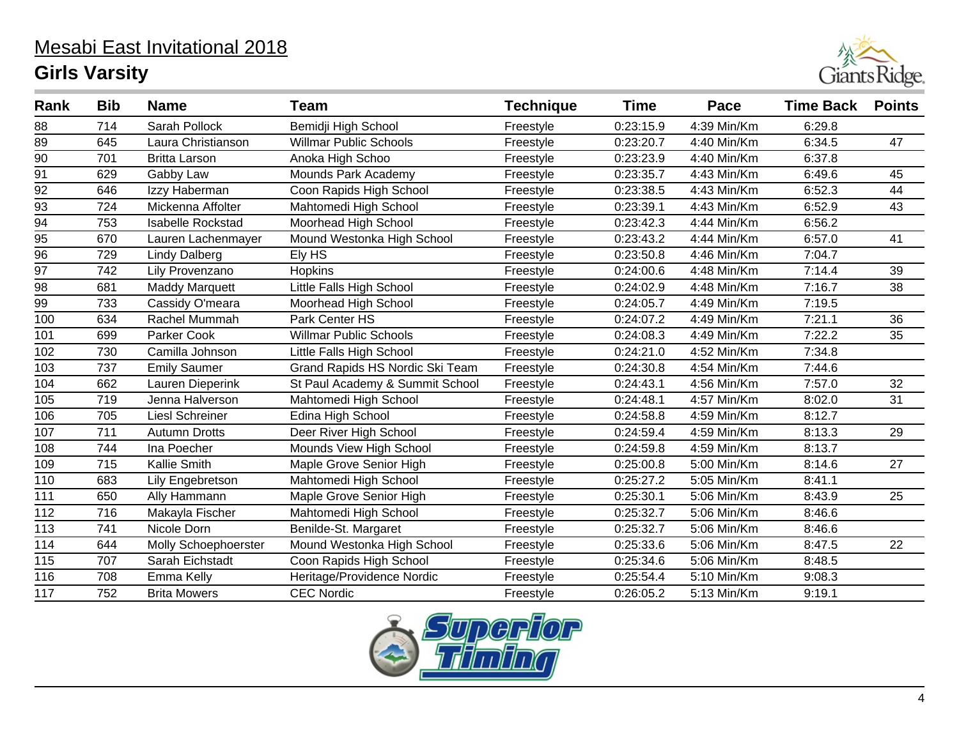

| Rank            | <b>Bib</b> | <b>Name</b>              | Team                            | <b>Technique</b> | Time      | Pace        | <b>Time Back</b> | <b>Points</b> |
|-----------------|------------|--------------------------|---------------------------------|------------------|-----------|-------------|------------------|---------------|
| 88              | 714        | Sarah Pollock            | Bemidji High School             | Freestyle        | 0:23:15.9 | 4:39 Min/Km | 6:29.8           |               |
| 89              | 645        | Laura Christianson       | <b>Willmar Public Schools</b>   | Freestyle        | 0:23:20.7 | 4:40 Min/Km | 6:34.5           | 47            |
| 90              | 701        | <b>Britta Larson</b>     | Anoka High Schoo                | Freestyle        | 0:23:23.9 | 4:40 Min/Km | 6:37.8           |               |
| $\overline{91}$ | 629        | Gabby Law                | Mounds Park Academy             | Freestyle        | 0:23:35.7 | 4:43 Min/Km | 6:49.6           | 45            |
| 92              | 646        | Izzy Haberman            | Coon Rapids High School         | Freestyle        | 0:23:38.5 | 4:43 Min/Km | 6:52.3           | 44            |
| 93              | 724        | Mickenna Affolter        | Mahtomedi High School           | Freestyle        | 0:23:39.1 | 4:43 Min/Km | 6:52.9           | 43            |
| 94              | 753        | <b>Isabelle Rockstad</b> | Moorhead High School            | Freestyle        | 0:23:42.3 | 4:44 Min/Km | 6:56.2           |               |
| 95              | 670        | Lauren Lachenmayer       | Mound Westonka High School      | Freestyle        | 0:23:43.2 | 4:44 Min/Km | 6:57.0           | 41            |
| 96              | 729        | <b>Lindy Dalberg</b>     | Ely HS                          | Freestyle        | 0:23:50.8 | 4:46 Min/Km | 7:04.7           |               |
| 97              | 742        | Lily Provenzano          | Hopkins                         | Freestyle        | 0:24:00.6 | 4:48 Min/Km | 7:14.4           | 39            |
| 98              | 681        | <b>Maddy Marquett</b>    | Little Falls High School        | Freestyle        | 0:24:02.9 | 4:48 Min/Km | 7:16.7           | 38            |
| 99              | 733        | Cassidy O'meara          | Moorhead High School            | Freestyle        | 0:24:05.7 | 4:49 Min/Km | 7:19.5           |               |
| 100             | 634        | Rachel Mummah            | Park Center HS                  | Freestyle        | 0:24:07.2 | 4:49 Min/Km | 7:21.1           | 36            |
| 101             | 699        | Parker Cook              | <b>Willmar Public Schools</b>   | Freestyle        | 0:24:08.3 | 4:49 Min/Km | 7:22.2           | 35            |
| 102             | 730        | Camilla Johnson          | Little Falls High School        | Freestyle        | 0:24:21.0 | 4:52 Min/Km | 7:34.8           |               |
| 103             | 737        | <b>Emily Saumer</b>      | Grand Rapids HS Nordic Ski Team | Freestyle        | 0:24:30.8 | 4:54 Min/Km | 7:44.6           |               |
| 104             | 662        | Lauren Dieperink         | St Paul Academy & Summit School | Freestyle        | 0:24:43.1 | 4:56 Min/Km | 7:57.0           | 32            |
| 105             | 719        | Jenna Halverson          | Mahtomedi High School           | Freestyle        | 0:24:48.1 | 4:57 Min/Km | 8:02.0           | 31            |
| 106             | 705        | <b>Liesl Schreiner</b>   | Edina High School               | Freestyle        | 0:24:58.8 | 4:59 Min/Km | 8:12.7           |               |
| 107             | 711        | <b>Autumn Drotts</b>     | Deer River High School          | Freestyle        | 0:24:59.4 | 4:59 Min/Km | 8:13.3           | 29            |
| 108             | 744        | Ina Poecher              | Mounds View High School         | Freestyle        | 0:24:59.8 | 4:59 Min/Km | 8:13.7           |               |
| 109             | 715        | Kallie Smith             | Maple Grove Senior High         | Freestyle        | 0:25:00.8 | 5:00 Min/Km | 8:14.6           | 27            |
| 110             | 683        | Lily Engebretson         | Mahtomedi High School           | Freestyle        | 0:25:27.2 | 5:05 Min/Km | 8:41.1           |               |
| 111             | 650        | Ally Hammann             | Maple Grove Senior High         | Freestyle        | 0:25:30.1 | 5:06 Min/Km | 8:43.9           | 25            |
| 112             | 716        | Makayla Fischer          | Mahtomedi High School           | Freestyle        | 0:25:32.7 | 5:06 Min/Km | 8:46.6           |               |
| 113             | 741        | Nicole Dorn              | Benilde-St. Margaret            | Freestyle        | 0:25:32.7 | 5:06 Min/Km | 8:46.6           |               |
| 114             | 644        | Molly Schoephoerster     | Mound Westonka High School      | Freestyle        | 0:25:33.6 | 5:06 Min/Km | 8:47.5           | 22            |
| 115             | 707        | Sarah Eichstadt          | Coon Rapids High School         | Freestyle        | 0:25:34.6 | 5:06 Min/Km | 8:48.5           |               |
| 116             | 708        | Emma Kelly               | Heritage/Providence Nordic      | Freestyle        | 0:25:54.4 | 5:10 Min/Km | 9:08.3           |               |
| 117             | 752        | <b>Brita Mowers</b>      | <b>CEC Nordic</b>               | Freestyle        | 0:26:05.2 | 5:13 Min/Km | 9:19.1           |               |